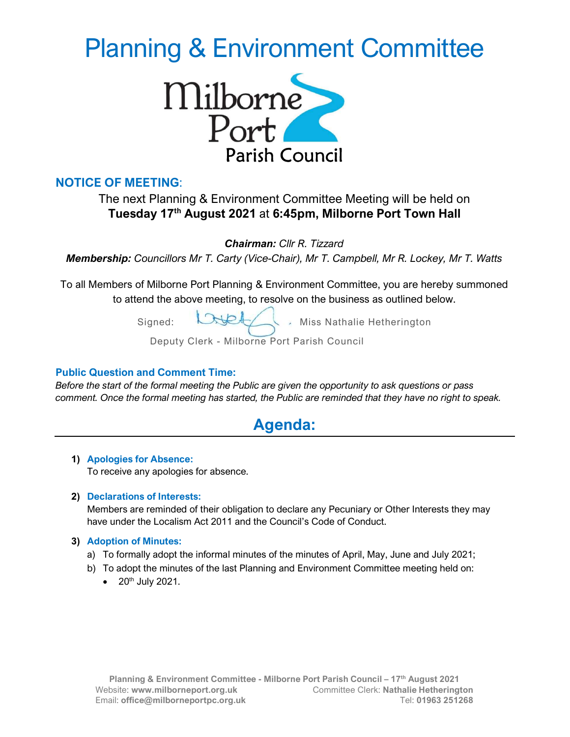# Planning & Environment Committee



### NOTICE OF MEETING:

## The next Planning & Environment Committee Meeting will be held on Tuesday 17th August 2021 at 6:45pm, Milborne Port Town Hall

Chairman: Cllr R. Tizzard

Membership: Councillors Mr T. Carty (Vice-Chair), Mr T. Campbell, Mr R. Lockey, Mr T. Watts

To all Members of Milborne Port Planning & Environment Committee, you are hereby summoned to attend the above meeting, to resolve on the business as outlined below.

> Signed: Wet Miss Nathalie Hetherington Deputy Clerk - Milborne Port Parish Council

#### Public Question and Comment Time:

Before the start of the formal meeting the Public are given the opportunity to ask questions or pass comment. Once the formal meeting has started, the Public are reminded that they have no right to speak.

# Agenda:

1) Apologies for Absence: To receive any apologies for absence.

#### 2) Declarations of Interests:

Members are reminded of their obligation to declare any Pecuniary or Other Interests they may have under the Localism Act 2011 and the Council's Code of Conduct.

#### 3) Adoption of Minutes:

- a) To formally adopt the informal minutes of the minutes of April, May, June and July 2021;
- b) To adopt the minutes of the last Planning and Environment Committee meeting held on:
	- $\bullet$  20<sup>th</sup> July 2021.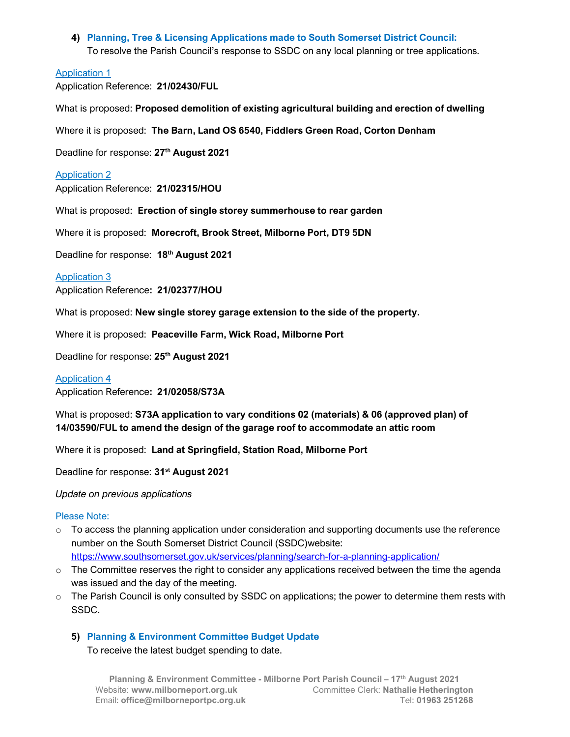4) Planning, Tree & Licensing Applications made to South Somerset District Council: To resolve the Parish Council's response to SSDC on any local planning or tree applications.

#### Application 1

Application Reference: 21/02430/FUL

What is proposed: Proposed demolition of existing agricultural building and erection of dwelling

Where it is proposed: The Barn, Land OS 6540, Fiddlers Green Road, Corton Denham

Deadline for response: 27<sup>th</sup> August 2021

#### Application 2

Application Reference: 21/02315/HOU

What is proposed: Erection of single storey summerhouse to rear garden

Where it is proposed: Morecroft, Brook Street, Milborne Port, DT9 5DN

Deadline for response: 18<sup>th</sup> August 2021

#### Application 3

Application Reference: 21/02377/HOU

What is proposed: New single storey garage extension to the side of the property.

Where it is proposed: Peaceville Farm, Wick Road, Milborne Port

Deadline for response: 25<sup>th</sup> August 2021

#### Application 4

Application Reference: 21/02058/S73A

What is proposed: S73A application to vary conditions 02 (materials) & 06 (approved plan) of 14/03590/FUL to amend the design of the garage roof to accommodate an attic room

Where it is proposed: Land at Springfield, Station Road, Milborne Port

Deadline for response: 31<sup>st</sup> August 2021

Update on previous applications

#### Please Note:

- $\circ$  To access the planning application under consideration and supporting documents use the reference number on the South Somerset District Council (SSDC)website: https://www.southsomerset.gov.uk/services/planning/search-for-a-planning-application/
- $\circ$  The Committee reserves the right to consider any applications received between the time the agenda was issued and the day of the meeting.
- $\circ$  The Parish Council is only consulted by SSDC on applications; the power to determine them rests with SSDC.

#### 5) Planning & Environment Committee Budget Update

To receive the latest budget spending to date.